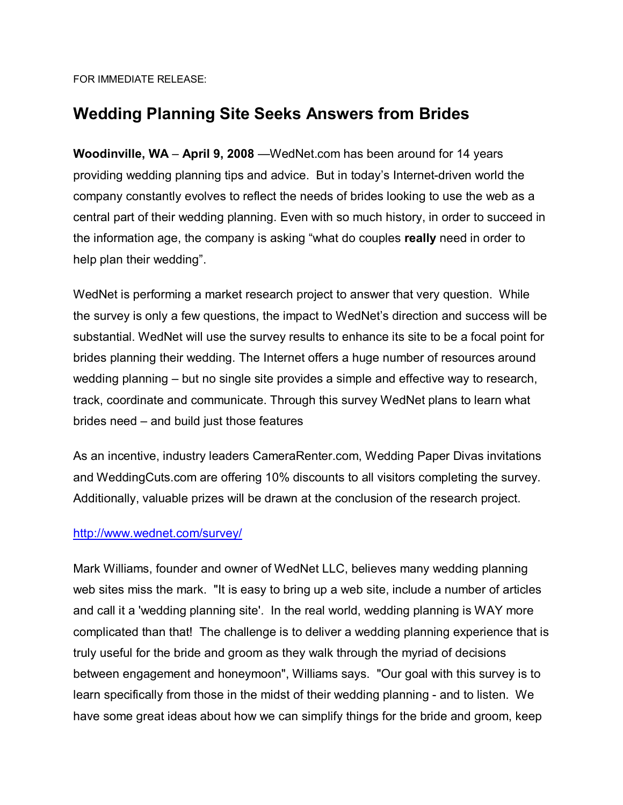FOR IMMEDIATE RELEASE:

## **Wedding Planning Site Seeks Answers from Brides**

**Woodinville, WA** – April 9, 2008 – WedNet.com has been around for 14 years providing wedding planning tips and advice. But in todayís Internet-driven world the company constantly evolves to reflect the needs of brides looking to use the web as a central part of their wedding planning. Even with so much history, in order to succeed in the information age, the company is asking "what do couples **really** need in order to help plan their wedding".

WedNet is performing a market research project to answer that very question. While the survey is only a few questions, the impact to WedNet's direction and success will be substantial. WedNet will use the survey results to enhance its site to be a focal point for brides planning their wedding. The Internet offers a huge number of resources around wedding planning  $-$  but no single site provides a simple and effective way to research, track, coordinate and communicate. Through this survey WedNet plans to learn what brides need  $-$  and build just those features

As an incentive, industry leaders CameraRenter.com, Wedding Paper Divas invitations and WeddingCuts.com are offering 10% discounts to all visitors completing the survey. Additionally, valuable prizes will be drawn at the conclusion of the research project.

## http://www.wednet.com/survey/

Mark Williams, founder and owner of WedNet LLC, believes many wedding planning web sites miss the mark. "It is easy to bring up a web site, include a number of articles and call it a 'wedding planning site'. In the real world, wedding planning is WAY more complicated than that! The challenge is to deliver a wedding planning experience that is truly useful for the bride and groom as they walk through the myriad of decisions between engagement and honeymoon", Williams says. "Our goal with this survey is to learn specifically from those in the midst of their wedding planning - and to listen. We have some great ideas about how we can simplify things for the bride and groom, keep